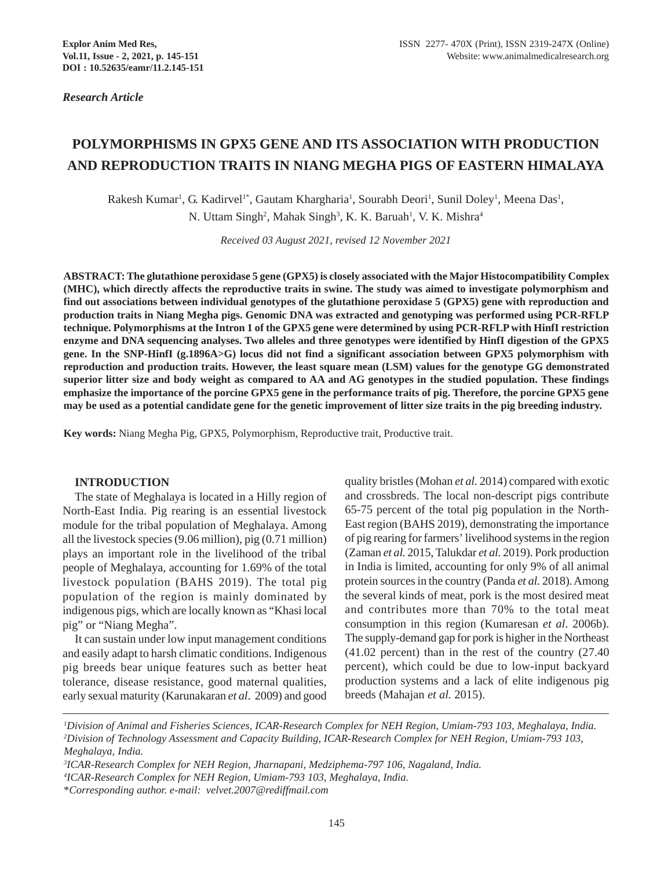*Research Article*

# **POLYMORPHISMS IN GPX5 GENE AND ITS ASSOCIATION WITH PRODUCTION AND REPRODUCTION TRAITS IN NIANG MEGHA PIGS OF EASTERN HIMALAYA**

Rakesh Kumar<sup>1</sup>, G. Kadirvel<sup>1\*</sup>, Gautam Khargharia<sup>1</sup>, Sourabh Deori<sup>1</sup>, Sunil Doley<sup>1</sup>, Meena Das<sup>1</sup>, N. Uttam Singh<sup>2</sup>, Mahak Singh<sup>3</sup>, K. K. Baruah<sup>1</sup>, V. K. Mishra<sup>4</sup>

*Received 03 August 2021, revised 12 November 2021*

**ABSTRACT: The glutathione peroxidase 5 gene (GPX5) is closely associated with the Major Histocompatibility Complex (MHC), which directly affects the reproductive traits in swine. The study was aimed to investigate polymorphism and find out associations between individual genotypes of the glutathione peroxidase 5 (GPX5) gene with reproduction and production traits in Niang Megha pigs. Genomic DNA was extracted and genotyping was performed using PCR-RFLP technique. Polymorphisms at the Intron 1 of the GPX5 gene were determined by using PCR-RFLP with HinfI restriction enzyme and DNA sequencing analyses. Two alleles and three genotypes were identified by HinfI digestion of the GPX5 gene. In the SNP-HinfI (g.1896A>G) locus did not find a significant association between GPX5 polymorphism with reproduction and production traits. However, the least square mean (LSM) values for the genotype GG demonstrated superior litter size and body weight as compared to AA and AG genotypes in the studied population. These findings emphasize the importance of the porcine GPX5 gene in the performance traits of pig. Therefore, the porcine GPX5 gene may be used as a potential candidate gene for the genetic improvement of litter size traits in the pig breeding industry.**

**Key words:** Niang Megha Pig, GPX5, Polymorphism, Reproductive trait, Productive trait.

#### **INTRODUCTION**

The state of Meghalaya is located in a Hilly region of North-East India. Pig rearing is an essential livestock module for the tribal population of Meghalaya. Among all the livestock species (9.06 million), pig (0.71 million) plays an important role in the livelihood of the tribal people of Meghalaya, accounting for 1.69% of the total livestock population (BAHS 2019). The total pig population of the region is mainly dominated by indigenous pigs, which are locally known as "Khasi local pig" or "Niang Megha".

It can sustain under low input management conditions and easily adapt to harsh climatic conditions. Indigenous pig breeds bear unique features such as better heat tolerance, disease resistance, good maternal qualities, early sexual maturity (Karunakaran *et al*. 2009) and good quality bristles (Mohan *et al.* 2014) compared with exotic and crossbreds. The local non-descript pigs contribute 65-75 percent of the total pig population in the North-East region (BAHS 2019), demonstrating the importance of pig rearing for farmers' livelihood systems in the region (Zaman *et al.* 2015, Talukdar *et al.* 2019). Pork production in India is limited, accounting for only 9% of all animal protein sources in the country (Panda *et al.* 2018). Among the several kinds of meat, pork is the most desired meat and contributes more than 70% to the total meat consumption in this region (Kumaresan *et al*. 2006b). The supply-demand gap for pork is higher in the Northeast (41.02 percent) than in the rest of the country (27.40 percent), which could be due to low-input backyard production systems and a lack of elite indigenous pig breeds (Mahajan *et al.* 2015).

*1 Division of Animal and Fisheries Sciences, ICAR-Research Complex for NEH Region, Umiam-793 103, Meghalaya, India. 2 Division of Technology Assessment and Capacity Building, ICAR-Research Complex for NEH Region, Umiam-793 103, Meghalaya, India.*

*<sup>3</sup> ICAR-Research Complex for NEH Region, Jharnapani, Medziphema-797 106, Nagaland, India.*

*<sup>4</sup> ICAR-Research Complex for NEH Region, Umiam-793 103, Meghalaya, India.*

<sup>\*</sup>*Corresponding author. e-mail: velvet.2007@rediffmail.com*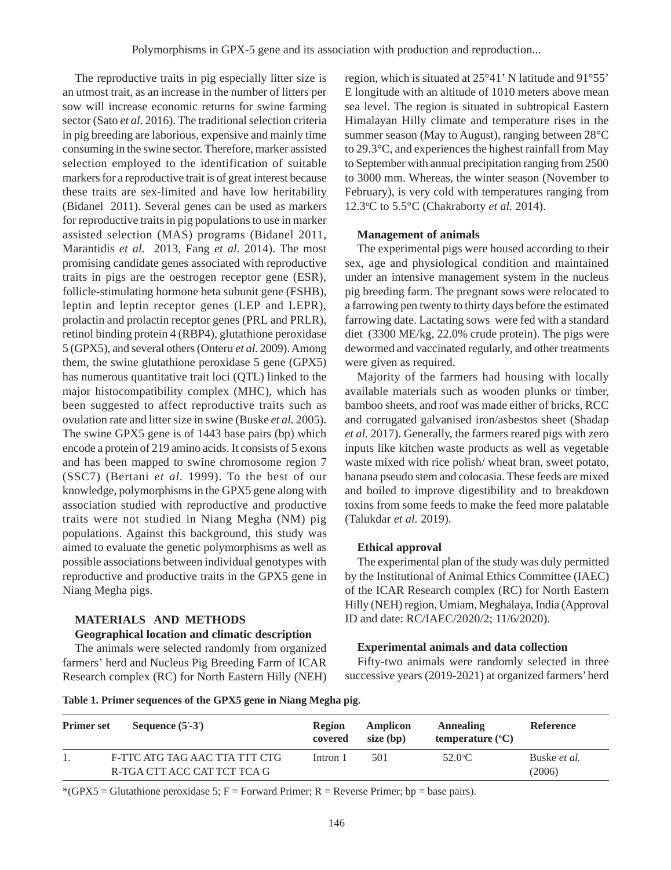The reproductive traits in pig especially litter size is an utmost trait, as an increase in the number of litters per sow will increase economic returns for swine farming sector (Sato *et al.* 2016). The traditional selection criteria in pig breeding are laborious, expensive and mainly time consuming in the swine sector. Therefore, marker assisted selection employed to the identification of suitable markers for a reproductive trait is of great interest because these traits are sex-limited and have low heritability (Bidanel 2011). Several genes can be used as markers for reproductive traits in pig populations to use in marker assisted selection (MAS) programs (Bidanel 2011, Marantidis *et al.* 2013, Fang *et al.* 2014). The most promising candidate genes associated with reproductive traits in pigs are the oestrogen receptor gene (ESR), follicle-stimulating hormone beta subunit gene (FSHB), leptin and leptin receptor genes (LEP and LEPR), prolactin and prolactin receptor genes (PRL and PRLR), retinol binding protein 4 (RBP4), glutathione peroxidase 5 (GPX5), and several others (Onteru *et al.* 2009). Among them, the swine glutathione peroxidase 5 gene (GPX5) has numerous quantitative trait loci (QTL) linked to the major histocompatibility complex (MHC), which has been suggested to affect reproductive traits such as ovulation rate and litter size in swine (Buske *et al.* 2005). The swine GPX5 gene is of 1443 base pairs (bp) which encode a protein of 219 amino acids. It consists of 5 exons and has been mapped to swine chromosome region 7 (SSC7) (Bertani *et al.* 1999). To the best of our knowledge, polymorphisms in the GPX5 gene along with association studied with reproductive and productive traits were not studied in Niang Megha (NM) pig populations. Against this background, this study was aimed to evaluate the genetic polymorphisms as well as possible associations between individual genotypes with reproductive and productive traits in the GPX5 gene in Niang Megha pigs.

# **MATERIALS AND METHODS**

#### **Geographical location and climatic description**

The animals were selected randomly from organized farmers' herd and Nucleus Pig Breeding Farm of ICAR Research complex (RC) for North Eastern Hilly (NEH)

region, which is situated at 25°41' N latitude and 91°55' E longitude with an altitude of 1010 meters above mean sea level. The region is situated in subtropical Eastern Himalayan Hilly climate and temperature rises in the summer season (May to August), ranging between 28°C to 29.3°C, and experiences the highest rainfall from May to September with annual precipitation ranging from 2500 to 3000 mm. Whereas, the winter season (November to February), is very cold with temperatures ranging from 12.3o C to 5.5°C (Chakraborty *et al.* 2014).

#### **Management of animals**

The experimental pigs were housed according to their sex, age and physiological condition and maintained under an intensive management system in the nucleus pig breeding farm. The pregnant sows were relocated to a farrowing pen twenty to thirty days before the estimated farrowing date. Lactating sows were fed with a standard diet (3300 ME/kg, 22.0% crude protein). The pigs were dewormed and vaccinated regularly, and other treatments were given as required.

Majority of the farmers had housing with locally available materials such as wooden plunks or timber, bamboo sheets, and roof was made either of bricks, RCC and corrugated galvanised iron/asbestos sheet (Shadap *et al.* 2017). Generally, the farmers reared pigs with zero inputs like kitchen waste products as well as vegetable waste mixed with rice polish/ wheat bran, sweet potato, banana pseudo stem and colocasia. These feeds are mixed and boiled to improve digestibility and to breakdown toxins from some feeds to make the feed more palatable (Talukdar *et al.* 2019).

#### **Ethical approval**

The experimental plan of the study was duly permitted by the Institutional of Animal Ethics Committee (IAEC) of the ICAR Research complex (RC) for North Eastern Hilly (NEH) region, Umiam, Meghalaya, India (Approval ID and date: RC/IAEC/2020/2; 11/6/2020).

## **Experimental animals and data collection**

Fifty-two animals were randomly selected in three successive years (2019-2021) at organized farmers' herd

**Table 1. Primer sequences of the GPX5 gene in Niang Megha pig.**

| <b>Primer set</b> | Sequence $(5'-3')$                                           | <b>Region</b><br>covered | Amplicon<br>size (bp) | Annealing<br>temperature $(^{\circ}C)$ | <b>Reference</b>              |
|-------------------|--------------------------------------------------------------|--------------------------|-----------------------|----------------------------------------|-------------------------------|
|                   | F-TTC ATG TAG AAC TTA TTT CTG<br>R-TGA CTT ACC CAT TCT TCA G | Intron 1                 | 501                   | $52.0^{\circ}$ C                       | Buske <i>et al.</i><br>(2006) |

\*(GPX5 = Glutathione peroxidase 5;  $F =$  Forward Primer; R = Reverse Primer; bp = base pairs).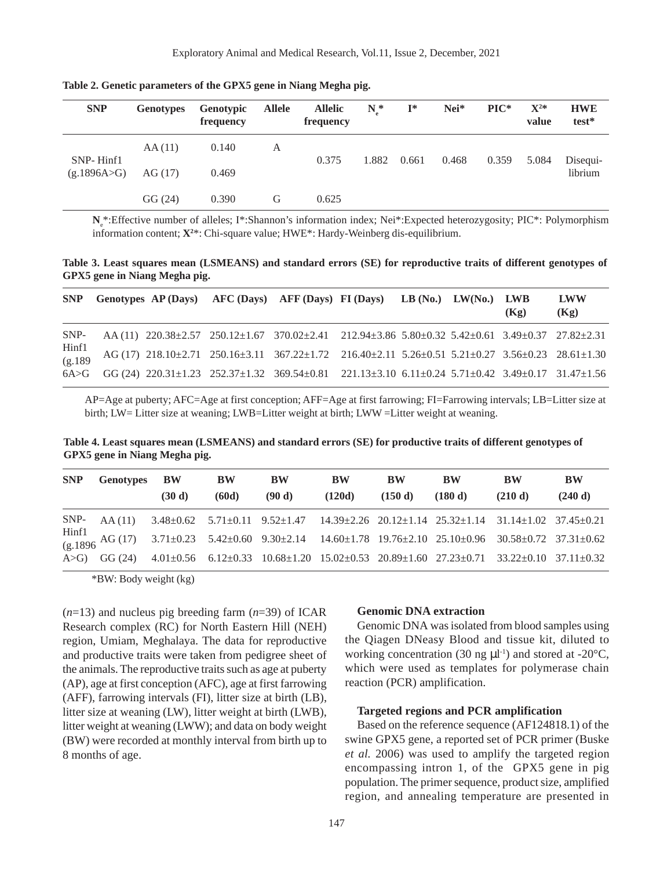| <b>SNP</b>               | <b>Genotypes</b> | <b>Genotypic</b><br>frequency | <b>Allele</b> | <b>Allelic</b><br>frequency | $N^*$ | $\mathbf{I}^*$ | Nei*  | $\mathbf{PIC}^*$ | $\mathbf{X}^{2*}$<br>value | <b>HWE</b><br>test* |
|--------------------------|------------------|-------------------------------|---------------|-----------------------------|-------|----------------|-------|------------------|----------------------------|---------------------|
| SNP-Hinf1<br>(g.1896A>G) | AA(11)           | 0.140                         | A             | 0.375                       | 1.882 | 0.661          | 0.468 | 0.359            | 5.084                      | Disequi-<br>librium |
|                          | AG(17)           | 0.469                         |               |                             |       |                |       |                  |                            |                     |
|                          | GG(24)           | 0.390                         | G             | 0.625                       |       |                |       |                  |                            |                     |

**Table 2. Genetic parameters of the GPX5 gene in Niang Megha pig.**

N<sub>e</sub>\*:Effective number of alleles; I\*:Shannon's information index; Nei\*:Expected heterozygosity; PIC\*: Polymorphism information content; **X2** \*: Chi-square value; HWE\*: Hardy-Weinberg dis-equilibrium.

**Table 3. Least squares mean (LSMEANS) and standard errors (SE) for reproductive traits of different genotypes of GPX5 gene in Niang Megha pig.**

| <b>SNP</b>                            |  | Genotypes AP (Days) AFC (Days) AFF (Days) FI (Days) LB (No.) LW(No.) LWB                                                                                  |  | (Kg) | LWW<br>(Kg) |
|---------------------------------------|--|-----------------------------------------------------------------------------------------------------------------------------------------------------------|--|------|-------------|
| SNP-                                  |  | AA (11) 220.38±2.57 250.12±1.67 370.02±2.41 212.94±3.86 5.80±0.32 5.42±0.61 3.49±0.37 27.82±2.31                                                          |  |      |             |
| $\frac{\text{Hint1}}{\text{(g.189)}}$ |  | $AG (17) 218.10 \pm 2.71 250.16 \pm 3.11 367.22 \pm 1.72 216.40 \pm 2.11 5.26 \pm 0.51 5.21 \pm 0.27 3.56 \pm 0.23 28.61 \pm 1.30$                        |  |      |             |
|                                       |  | $6A > G$ GG (24) $220.31 \pm 1.23$ $252.37 \pm 1.32$ $369.54 \pm 0.81$ $221.13 \pm 3.10$ $6.11 \pm 0.24$ $5.71 \pm 0.42$ $3.49 \pm 0.17$ $31.47 \pm 1.56$ |  |      |             |

AP=Age at puberty; AFC=Age at first conception; AFF=Age at first farrowing; FI=Farrowing intervals; LB=Litter size at birth; LW= Litter size at weaning; LWB=Litter weight at birth; LWW =Litter weight at weaning.

**Table 4. Least squares mean (LSMEANS) and standard errors (SE) for productive traits of different genotypes of GPX5 gene in Niang Megha pig.**

| <b>SNP</b> | Genotypes | $\mathbf{B} \mathbf{W}$ | BW    | <b>BW</b> | <b>BW</b> | <b>BW</b> | <b>BW</b>                                                                                                     | <b>BW</b> | <b>BW</b> |
|------------|-----------|-------------------------|-------|-----------|-----------|-----------|---------------------------------------------------------------------------------------------------------------|-----------|-----------|
|            |           | (30 d)                  | (60d) | (90 d)    | (120d)    | (150d)    | (180 d)                                                                                                       | (210 d)   | (240 d)   |
|            |           |                         |       |           |           |           | SNP- AA (11) 3.48±0.62 5.71±0.11 9.52±1.47 14.39±2.26 20.12±1.14 25.32±1.14 31.14±1.02 37.45±0.21             |           |           |
|            |           |                         |       |           |           |           | Hinf1<br>(g.1896 AG (17) 3.71±0.23 5.42±0.60 9.30±2.14 14.60±1.78 19.76±2.10 25.10±0.96 30.58±0.72 37.31±0.62 |           |           |
|            |           |                         |       |           |           |           | A>G) GG (24) 4.01±0.56 6.12±0.33 10.68±1.20 15.02±0.53 20.89±1.60 27.23±0.71 33.22±0.10 37.11±0.32            |           |           |

\*BW: Body weight (kg)

(*n*=13) and nucleus pig breeding farm (*n*=39) of ICAR Research complex (RC) for North Eastern Hill (NEH) region, Umiam, Meghalaya. The data for reproductive and productive traits were taken from pedigree sheet of the animals. The reproductive traits such as age at puberty (AP), age at first conception (AFC), age at first farrowing (AFF), farrowing intervals (FI), litter size at birth (LB), litter size at weaning (LW), litter weight at birth (LWB), litter weight at weaning (LWW); and data on body weight (BW) were recorded at monthly interval from birth up to 8 months of age.

#### **Genomic DNA extraction**

Genomic DNA was isolated from blood samples using the Qiagen DNeasy Blood and tissue kit, diluted to working concentration (30 ng  $\mu$ l<sup>-1</sup>) and stored at -20 $^{\circ}$ C, which were used as templates for polymerase chain reaction (PCR) amplification.

### **Targeted regions and PCR amplification**

Based on the reference sequence (AF124818.1) of the swine GPX5 gene, a reported set of PCR primer (Buske *et al.* 2006) was used to amplify the targeted region encompassing intron 1, of the GPX5 gene in pig population. The primer sequence, product size, amplified region, and annealing temperature are presented in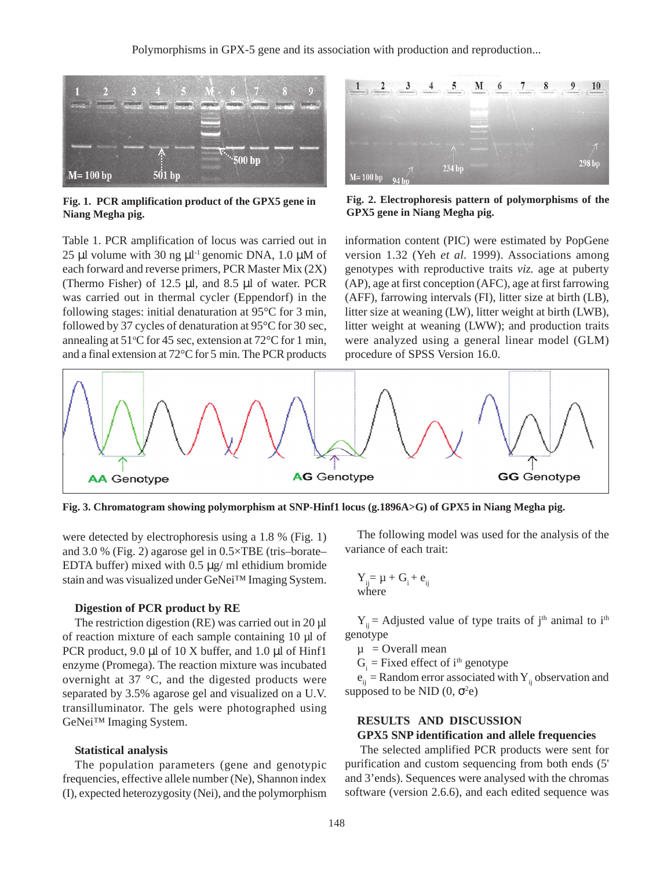

**Fig. 1. PCR amplification product of the GPX5 gene in Niang Megha pig.**

Table 1. PCR amplification of locus was carried out in 25 µl volume with 30 ng  $\mu$ l<sup>-1</sup> genomic DNA, 1.0  $\mu$ M of each forward and reverse primers, PCR Master Mix (2X) (Thermo Fisher) of 12.5 µl, and 8.5 µl of water. PCR was carried out in thermal cycler (Eppendorf) in the following stages: initial denaturation at 95°C for 3 min, followed by 37 cycles of denaturation at 95°C for 30 sec, annealing at  $51^{\circ}$ C for 45 sec, extension at  $72^{\circ}$ C for 1 min, and a final extension at 72°C for 5 min. The PCR products



**Fig. 2. Electrophoresis pattern of polymorphisms of the GPX5 gene in Niang Megha pig.**

information content (PIC) were estimated by PopGene version 1.32 (Yeh *et al.* 1999). Associations among genotypes with reproductive traits *viz.* age at puberty (AP), age at first conception (AFC), age at first farrowing (AFF), farrowing intervals (FI), litter size at birth (LB), litter size at weaning (LW), litter weight at birth (LWB), litter weight at weaning (LWW); and production traits were analyzed using a general linear model (GLM) procedure of SPSS Version 16.0.



**Fig. 3. Chromatogram showing polymorphism at SNP-Hinf1 locus (g.1896A>G) of GPX5 in Niang Megha pig.**

were detected by electrophoresis using a 1.8 % (Fig. 1) and 3.0 % (Fig. 2) agarose gel in 0.5×TBE (tris–borate– EDTA buffer) mixed with  $0.5 \mu g$  ml ethidium bromide stain and was visualized under GeNei™ Imaging System.

#### **Digestion of PCR product by RE**

The restriction digestion (RE) was carried out in 20 µl of reaction mixture of each sample containing 10 µl of PCR product, 9.0 µl of 10 X buffer, and 1.0 µl of Hinf1 enzyme (Promega). The reaction mixture was incubated overnight at 37 °C, and the digested products were separated by 3.5% agarose gel and visualized on a U.V. transilluminator. The gels were photographed using GeNei<sup>™</sup> Imaging System.

# **Statistical analysis**

The population parameters (gene and genotypic frequencies, effective allele number (Ne), Shannon index (I), expected heterozygosity (Nei), and the polymorphism

The following model was used for the analysis of the variance of each trait:

$$
\begin{array}{c} Y_{ij} = \mu + G_i + e_{ij} \\ \text{where} \end{array}
$$

 $Y_{ii}$  = Adjusted value of type traits of j<sup>th</sup> animal to i<sup>th</sup> genotype

 $\mu$  = Overall mean

 $G_i$  = Fixed effect of i<sup>th</sup> genotype

 $e_{ii}$  = Random error associated with  $Y_{ii}$  observation and supposed to be NID  $(0, \sigma^2 e)$ 

# **RESULTS AND DISCUSSION GPX5 SNP identification and allele frequencies**

The selected amplified PCR products were sent for purification and custom sequencing from both ends (5' and 3'ends). Sequences were analysed with the chromas software (version 2.6.6), and each edited sequence was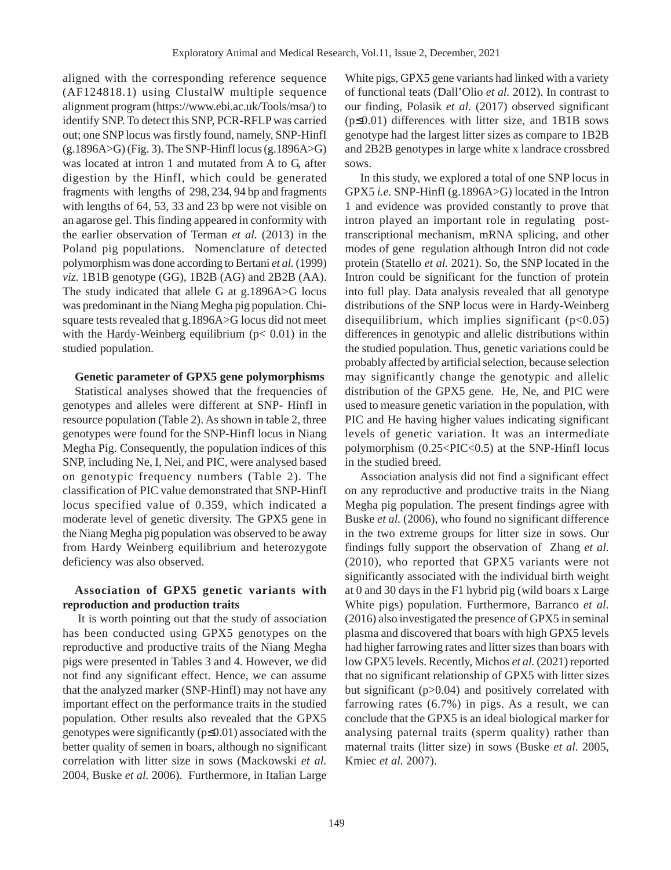aligned with the corresponding reference sequence (AF124818.1) using ClustalW multiple sequence alignment program (https://www.ebi.ac.uk/Tools/msa/) to identify SNP. To detect this SNP, PCR-RFLP was carried out; one SNP locus was firstly found, namely, SNP-HinfI  $(g.1896A>G)$  (Fig. 3). The SNP-HinfI locus  $(g.1896A>G)$ was located at intron 1 and mutated from A to G, after digestion by the HinfI, which could be generated fragments with lengths of 298, 234, 94 bp and fragments with lengths of 64, 53, 33 and 23 bp were not visible on an agarose gel. This finding appeared in conformity with the earlier observation of Terman *et al.* (2013) in the Poland pig populations. Nomenclature of detected polymorphism was done according to Bertani *et al.* (1999) *viz.* 1B1B genotype (GG), 1B2B (AG) and 2B2B (AA). The study indicated that allele G at g.1896A>G locus was predominant in the Niang Megha pig population. Chisquare tests revealed that g.1896A>G locus did not meet with the Hardy-Weinberg equilibrium ( $p < 0.01$ ) in the studied population.

## **Genetic parameter of GPX5 gene polymorphisms**

Statistical analyses showed that the frequencies of genotypes and alleles were different at SNP- HinfI in resource population (Table 2). As shown in table 2, three genotypes were found for the SNP-HinfI locus in Niang Megha Pig. Consequently, the population indices of this SNP, including Ne, I, Nei, and PIC, were analysed based on genotypic frequency numbers (Table 2). The classification of PIC value demonstrated that SNP-HinfI locus specified value of 0.359, which indicated a moderate level of genetic diversity. The GPX5 gene in the Niang Megha pig population was observed to be away from Hardy Weinberg equilibrium and heterozygote deficiency was also observed.

# **Association of GPX5 genetic variants with reproduction and production traits**

It is worth pointing out that the study of association has been conducted using GPX5 genotypes on the reproductive and productive traits of the Niang Megha pigs were presented in Tables 3 and 4. However, we did not find any significant effect. Hence, we can assume that the analyzed marker (SNP-HinfI) may not have any important effect on the performance traits in the studied population. Other results also revealed that the GPX5 genotypes were significantly  $(p \le 0.01)$  associated with the better quality of semen in boars, although no significant correlation with litter size in sows (Mackowski *et al.* 2004, Buske *et al.* 2006). Furthermore, in Italian Large

White pigs, GPX5 gene variants had linked with a variety of functional teats (Dall'Olio *et al.* 2012). In contrast to our finding, Polasik *et al.* (2017) observed significant (p≤0.01) differences with litter size, and 1B1B sows genotype had the largest litter sizes as compare to 1B2B and 2B2B genotypes in large white x landrace crossbred sows.

In this study, we explored a total of one SNP locus in GPX5 *i.e.* SNP-HinfI (g.1896A>G) located in the Intron 1 and evidence was provided constantly to prove that intron played an important role in regulating posttranscriptional mechanism, mRNA splicing, and other modes of gene regulation although Intron did not code protein (Statello *et al.* 2021). So, the SNP located in the Intron could be significant for the function of protein into full play. Data analysis revealed that all genotype distributions of the SNP locus were in Hardy-Weinberg disequilibrium, which implies significant  $(p<0.05)$ differences in genotypic and allelic distributions within the studied population. Thus, genetic variations could be probably affected by artificial selection, because selection may significantly change the genotypic and allelic distribution of the GPX5 gene. He, Ne, and PIC were used to measure genetic variation in the population, with PIC and He having higher values indicating significant levels of genetic variation. It was an intermediate polymorphism (0.25<PIC<0.5) at the SNP-HinfI locus in the studied breed.

Association analysis did not find a significant effect on any reproductive and productive traits in the Niang Megha pig population. The present findings agree with Buske *et al.* (2006), who found no significant difference in the two extreme groups for litter size in sows. Our findings fully support the observation of Zhang *et al.* (2010), who reported that GPX5 variants were not significantly associated with the individual birth weight at 0 and 30 days in the F1 hybrid pig (wild boars x Large White pigs) population. Furthermore, Barranco *et al.* (2016) also investigated the presence of GPX5 in seminal plasma and discovered that boars with high GPX5 levels had higher farrowing rates and litter sizes than boars with low GPX5 levels. Recently, Michos *et al.* (2021) reported that no significant relationship of GPX5 with litter sizes but significant (p>0.04) and positively correlated with farrowing rates (6.7%) in pigs. As a result, we can conclude that the GPX5 is an ideal biological marker for analysing paternal traits (sperm quality) rather than maternal traits (litter size) in sows (Buske *et al.* 2005, Kmiec *et al.* 2007).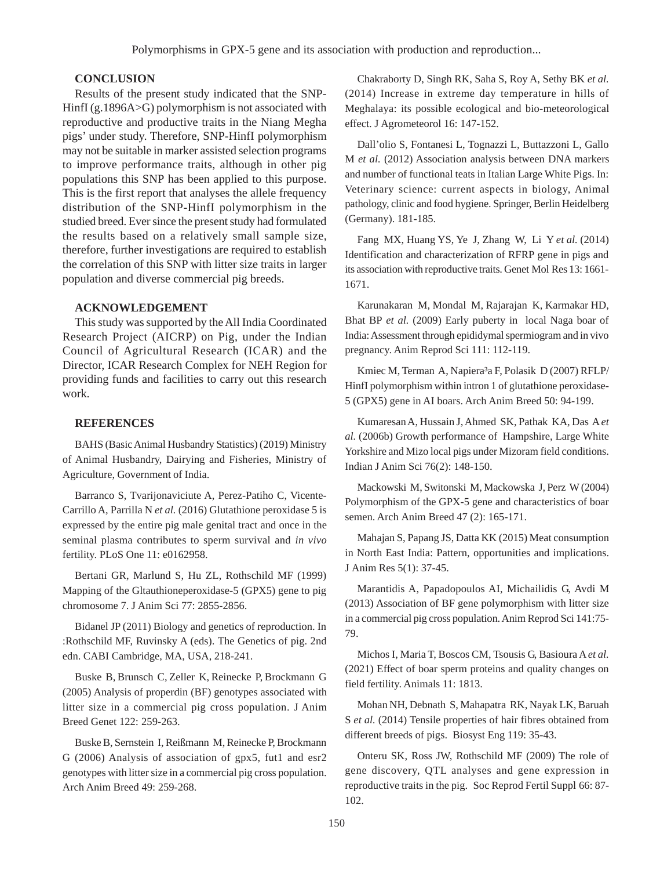# **CONCLUSION**

Results of the present study indicated that the SNP-HinfI (g.1896A>G) polymorphism is not associated with reproductive and productive traits in the Niang Megha pigs' under study. Therefore, SNP-HinfI polymorphism may not be suitable in marker assisted selection programs to improve performance traits, although in other pig populations this SNP has been applied to this purpose. This is the first report that analyses the allele frequency distribution of the SNP-HinfI polymorphism in the studied breed. Ever since the present study had formulated the results based on a relatively small sample size, therefore, further investigations are required to establish the correlation of this SNP with litter size traits in larger population and diverse commercial pig breeds.

# **ACKNOWLEDGEMENT**

This study was supported by the All India Coordinated Research Project (AICRP) on Pig, under the Indian Council of Agricultural Research (ICAR) and the Director, ICAR Research Complex for NEH Region for providing funds and facilities to carry out this research work.

# **REFERENCES**

BAHS (Basic Animal Husbandry Statistics) (2019) Ministry of Animal Husbandry, Dairying and Fisheries, Ministry of Agriculture, Government of India.

Barranco S, Tvarijonaviciute A, Perez-Patiho C, Vicente-Carrillo A, Parrilla N *et al.* (2016) Glutathione peroxidase 5 is expressed by the entire pig male genital tract and once in the seminal plasma contributes to sperm survival and *in vivo* fertility. PLoS One 11: e0162958.

Bertani GR, Marlund S, Hu ZL, Rothschild MF (1999) Mapping of the Gltauthioneperoxidase-5 (GPX5) gene to pig chromosome 7. J Anim Sci 77: 2855-2856.

Bidanel JP (2011) Biology and genetics of reproduction. In :Rothschild MF, Ruvinsky A (eds). The Genetics of pig. 2nd edn. CABI Cambridge, MA, USA, 218-241.

Buske B, Brunsch C, Zeller K, Reinecke P, Brockmann G (2005) Analysis of properdin (BF) genotypes associated with litter size in a commercial pig cross population. J Anim Breed Genet 122: 259-263.

Buske B, Sernstein I, Reißmann M, Reinecke P, Brockmann G (2006) Analysis of association of gpx5, fut1 and esr2 genotypes with litter size in a commercial pig cross population. Arch Anim Breed 49: 259-268.

Chakraborty D, Singh RK, Saha S, Roy A, Sethy BK *et al.* (2014) Increase in extreme day temperature in hills of Meghalaya: its possible ecological and bio-meteorological effect. J Agrometeorol 16: 147-152.

Dall'olio S, Fontanesi L, Tognazzi L, Buttazzoni L, Gallo M *et al.* (2012) Association analysis between DNA markers and number of functional teats in Italian Large White Pigs. In: Veterinary science: current aspects in biology, Animal pathology, clinic and food hygiene. Springer, Berlin Heidelberg (Germany). 181-185.

Fang MX, Huang YS, Ye J, Zhang W, Li Y *et al.* (2014) Identification and characterization of RFRP gene in pigs and its association with reproductive traits. Genet Mol Res 13: 1661- 1671.

Karunakaran M, Mondal M, Rajarajan K, Karmakar HD, Bhat BP *et al.* (2009) Early puberty in local Naga boar of India: Assessment through epididymal spermiogram and in vivo pregnancy. Anim Reprod Sci 111: 112-119.

Kmiec M, Terman A, Napiera<sup>3</sup>a F, Polasik D (2007) RFLP/ HinfI polymorphism within intron 1 of glutathione peroxidase-5 (GPX5) gene in AI boars. Arch Anim Breed 50: 94-199.

Kumaresan A, Hussain J, Ahmed SK, Pathak KA, Das A *et al.* (2006b) Growth performance of Hampshire, Large White Yorkshire and Mizo local pigs under Mizoram field conditions. Indian J Anim Sci 76(2): 148-150.

Mackowski M, Switonski M, Mackowska J, Perz W (2004) Polymorphism of the GPX-5 gene and characteristics of boar semen. Arch Anim Breed 47 (2): 165-171.

Mahajan S, Papang JS, Datta KK (2015) Meat consumption in North East India: Pattern, opportunities and implications. J Anim Res 5(1): 37-45.

Marantidis A, Papadopoulos AI, Michailidis G, Avdi M (2013) Association of BF gene polymorphism with litter size in a commercial pig cross population. Anim Reprod Sci 141:75- 79.

Michos I, Maria T, Boscos CM, Tsousis G, Basioura A *et al.* (2021) Effect of boar sperm proteins and quality changes on field fertility. Animals 11: 1813.

Mohan NH, Debnath S, Mahapatra RK, Nayak LK, Baruah S *et al.* (2014) Tensile properties of hair fibres obtained from different breeds of pigs. Biosyst Eng 119: 35-43.

Onteru SK, Ross JW, Rothschild MF (2009) The role of gene discovery, QTL analyses and gene expression in reproductive traits in the pig. Soc Reprod Fertil Suppl 66: 87- 102.